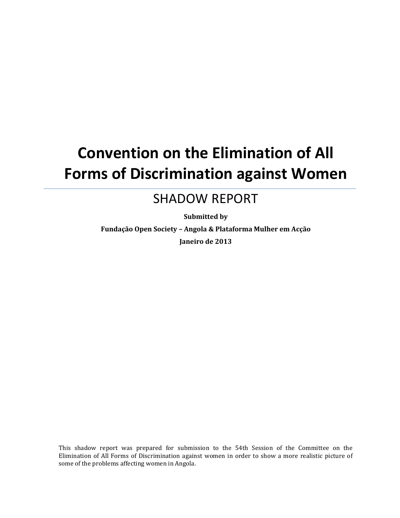# **Convention on the Elimination of All Forms of Discrimination against Women**

# SHADOW REPORT

**Submitted by**

**Fundação Open Society – Angola & Plataforma Mulher em Acção Janeiro de 2013**

This shadow report was prepared for submission to the 54th Session of the Committee on the Elimination of All Forms of Discrimination against women in order to show a more realistic picture of some of the problems affecting women in Angola.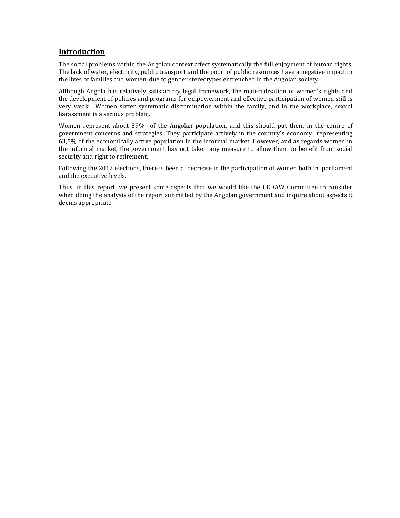# **Introduction**

The social problems within the Angolan context affect systematically the full enjoyment of human rights. The lack of water, electricity, public transport and the poor of public resources have a negative impact in the lives of families and women, due to gender stereotypes entrenched in the Angolan society.

Although Angola has relatively satisfactory legal framework, the materialization of women's rights and the development of policies and programs for empowerment and effective participation of women still is very weak. Women suffer systematic discrimination within the family, and in the workplace, sexual harassment is a serious problem.

Women represent about 59% of the Angolan population, and this should put them in the centre of government concerns and strategies. They participate actively in the country´s economy representing 63,5% of the economically active population in the informal market. However, and as regards women in the informal market, the government has not taken any measure to allow them to benefit from social security and right to retirement.

Following the 2012 elections, there is been a decrease in the participation of women both in parliament and the executive levels.

Thus, in this report, we present some aspects that we would like the CEDAW Committee to consider when doing the analysis of the report submitted by the Angolan government and inquire about aspects it deems appropriate.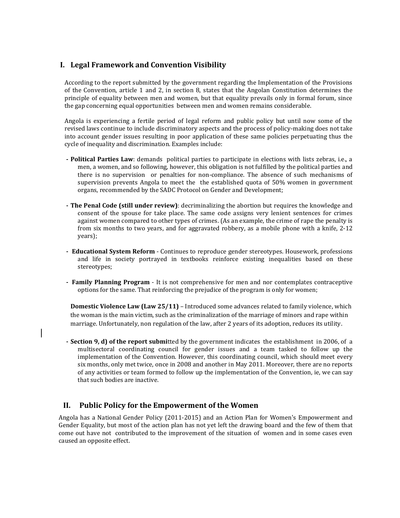# **I. Legal Framework and Convention Visibility**

According to the report submitted by the government regarding the Implementation of the Provisions of the Convention, article 1 and 2, in section 8, states that the Angolan Constitution determines the principle of equality between men and women, but that equality prevails only in formal forum, since the gap concerning equal opportunities between men and women remains considerable.

Angola is experiencing a fertile period of legal reform and public policy but until now some of the revised laws continue to include discriminatory aspects and the process of policy-making does not take into account gender issues resulting in poor application of these same policies perpetuating thus the cycle of inequality and discrimination. Examples include:

- **- Political Parties Law**: demands political parties to participate in elections with lists zebras, i.e., a men, a women, and so following, however, this obligation is not fulfilled by the political parties and there is no supervision or penalties for non-compliance. The absence of such mechanisms of supervision prevents Angola to meet the the established quota of 50% women in government organs, recommended by the SADC Protocol on Gender and Development;
- **- The Penal Code (still under review)**: decriminalizing the abortion but requires the knowledge and consent of the spouse for take place. The same code assigns very lenient sentences for crimes against women compared to other types of crimes. (As an example, the crime of rape the penalty is from six months to two years, and for aggravated robbery, as a mobile phone with a knife, 2-12 years);
- **- Educational System Reform** Continues to reproduce gender stereotypes. Housework, professions and life in society portrayed in textbooks reinforce existing inequalities based on these stereotypes;
- **- Family Planning Program** It is not comprehensive for men and nor contemplates contraceptive options for the same. That reinforcing the prejudice of the program is only for women;

**Domestic Violence Law (Law 25/11)** – Introduced some advances related to family violence, which the woman is the main victim, such as the criminalization of the marriage of minors and rape within marriage. Unfortunately, non regulation of the law, after 2 years of its adoption, reduces its utility.

**- Section 9, d) of the report submi**tted by the government indicates the establishment in 2006, of a multisectoral coordinating council for gender issues and a team tasked to follow up the implementation of the Convention. However, this coordinating council, which should meet every six months, only met twice, once in 2008 and another in May 2011. Moreover, there are no reports of any activities or team formed to follow up the implementation of the Convention, ie, we can say that such bodies are inactive.

## **II. Public Policy for the Empowerment of the Women**

Angola has a National Gender Policy (2011-2015) and an Action Plan for Women's Empowerment and Gender Equality, but most of the action plan has not yet left the drawing board and the few of them that come out have not contributed to the improvement of the situation of women and in some cases even caused an opposite effect.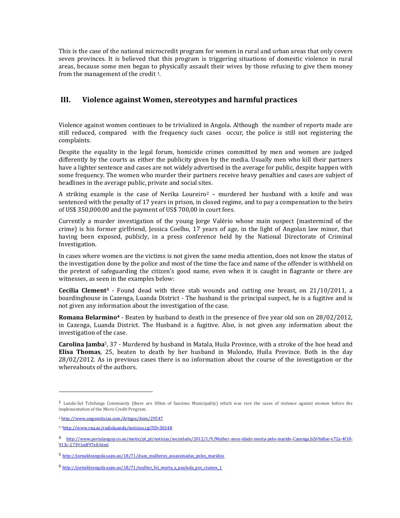This is the case of the national microcredit program for women in rural and urban areas that only covers seven provinces. It is believed that this program is triggering situations of domestic violence in rural areas, because some men began to physically assault their wives by those refusing to give them money from the management of the credit 1.

# **III. Violence against Women, stereotypes and harmful practices**

Violence against women continues to be trivialized in Angola. Although the number of reports made are still reduced, compared with the frequency such cases occur, the police is still not registering the complaints.

Despite the equality in the legal forum, homicide crimes committed by men and women are judged differently by the courts as either the publicity given by the media. Usually men who kill their partners have a lighter sentence and cases are not widely advertised in the average for public, despite happen with some frequency. The women who murder their partners receive heavy penalties and cases are subject of headlines in the average public, private and social sites.

A striking example is the case of Nerika Loureiro<sup>2</sup> - murdered her husband with a knife and was sentenced with the penalty of 17 years in prison, in closed regime, and to pay a compensation to the heirs of US\$ 350,000.00 and the payment of US\$ 700,00 in court fees.

Currently a murder investigation of the young Jorge Valério whose main suspect (mastermind of the crime) is his former girlfriend, Jessica Coelho, 17 years of age, in the light of Angolan law minor, that having been exposed, publicly, in a press conference held by the National Directorate of Criminal Investigation.

In cases where women are the victims is not given the same media attention, does not know the status of the investigation done by the police and most of the time the face and name of the offender is withheld on the pretext of safeguarding the citizen's good name, even when it is caught in flagrante or there are witnesses, as seen in the examples below:

**Cecilia Clement<sup>3</sup>** - Found dead with three stab wounds and cutting one breast, on 21/10/2011, a boardinghouse in Cazenga, Luanda District - The husband is the principal suspect, he is a fugitive and is not given any information about the investigation of the case.

**Romana Belarmino<sup>4</sup>** - Beaten by husband to death in the presence of five year old son on 28/02/2012, in Cazenga, Luanda District. The Husband is a fugitive. Also, is not given any information about the investigation of the case.

**Carolina Jamba**5, 37 - Murdered by husband in Matala, Huila Province, with a stroke of the hoe head and **Elisa Thomas**, 25, beaten to death by her husband in Mulondo, Huila Province. Both in the day 28/02/2012. As in previous cases there is no information about the course of the investigation or the whereabouts of the authors.

l

<sup>1</sup> Lunda-Sul Tchifunga Community (there are 30km of Saurimo Municipality) which was rare the cases of violence against women before the implementation of the Micro Credit Program.

<sup>2</sup> <http://www.angonoticias.com/Artigos/item/29547>

<sup>3</sup> <sup>3</sup><http://www.rna.ao/radioluanda/noticias.cgi?ID=50148>

<sup>4</sup> [http://www.portalangop.co.ao/motix/pt\\_pt/noticias/sociedade/2012/1/9/Mulher-anos-idade-morta-pelo-marido-Cazenga,b269a8ae-e72a-4f10-](http://www.portalangop.co.ao/motix/pt_pt/noticias/sociedade/2012/1/9/Mulher-anos-idade-morta-pelo-marido-Cazenga,b269a8ae-e72a-4f10-913c-27391edf97e8.html) [913c-27391edf97e8.html](http://www.portalangop.co.ao/motix/pt_pt/noticias/sociedade/2012/1/9/Mulher-anos-idade-morta-pelo-marido-Cazenga,b269a8ae-e72a-4f10-913c-27391edf97e8.html)

<sup>5</sup> [http://jornaldeangola.sapo.ao/18/71/duas\\_mulheres\\_assassinadas\\_pelos\\_maridos](http://jornaldeangola.sapo.ao/18/71/duas_mulheres_assassinadas_pelos_maridos)

 $6$  http://jornaldeangola.sapo.ao/18/71/mulher foi morta a paulada por ciumes 1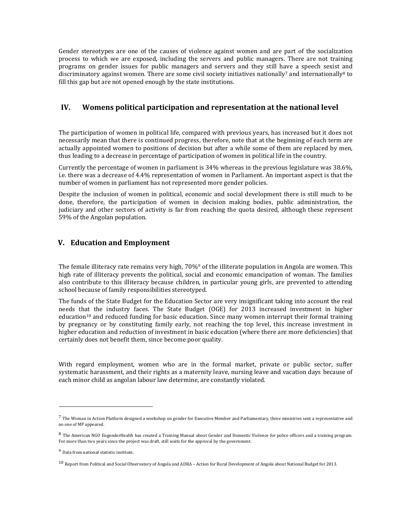Gender stereotypes are one of the causes of violence against women and are part of the socialization process to which we are exposed, including the servers and public managers. There are not training programs on gender issues for public managers and servers and they still have a speech sexist and discriminatory against women. There are some civil society initiatives nationally<sup>7</sup> and internationally<sup>8</sup> to fill this gap but are not opened enough by the state institutions.

## **IV. Womens political participation and representation at the national level**

The participation of women in political life, compared with previous years, has increased but it does not necessarily mean that there is continued progress, therefore, note that at the beginning of each term are actually appointed women to positions of decision but after a while some of them are replaced by men, thus leading to a decrease in percentage of participation of women in political life in the country.

Currently the percentage of women in parliament is 34% whereas in the previous legislature was 38.6%, i.e. there was a decrease of 4.4% representation of women in Parliament. An important aspect is that the number of women in parliament has not represented more gender policies.

Despite the inclusion of women in political, economic and social development there is still much to be done, therefore, the participation of women in decision making bodies, public administration, the judiciary and other sectors of activity is far from reaching the quota desired, although these represent 59% of the Angolan population.

## **V. Education and Employment**

The female illiteracy rate remains very high, 70%<sup>9</sup> of the illiterate population in Angola are women. This high rate of illiteracy prevents the political, social and economic emancipation of woman. The families also contribute to this illiteracy because children, in particular young girls, are prevented to attending school because of family responsibilities stereotyped.

The funds of the State Budget for the Education Sector are very insignificant taking into account the real needs that the industry faces. The State Budget (OGE) for 2013 increased investment in higher education<sup>10</sup> and reduced funding for basic education. Since many women interrupt their formal training by pregnancy or by constituting family early, not reaching the top level, this increase investment in higher education and reduction of investment in basic education (where there are more deficiencies) that certainly does not benefit them, since become poor quality.

With regard employment, women who are in the formal market, private or public sector, suffer systematic harassment, and their rights as a maternity leave, nursing leave and vacation days because of each minor child as angolan labour law determine, are constantly violated.

 $\overline{a}$ 

<sup>&</sup>lt;sup>7</sup> The Woman in Action Platform designed a workshop on gender for Executive Member and Parliamentary, three ministries sent a representative and no one of MP appeared.

 $8$  The American NGO EngenderHealth has created a Training Manual about Gender and Domestic Violence for police officers and a training program. For more than two years since the project was draft, still waits for the approval by the government.

<sup>9</sup> Data from national statistic institute.

<sup>10</sup> Report from Political and Social Observatory of Angola and ADRA – Action for Rural Development of Angola about National Budget for 2013.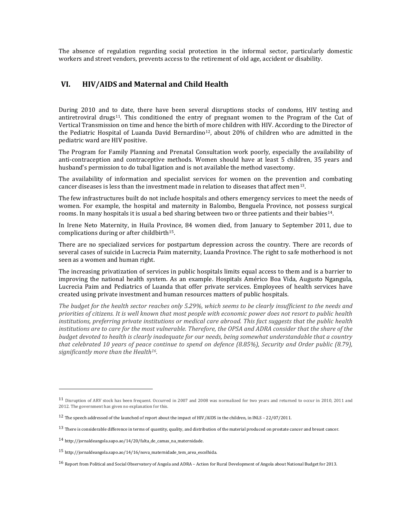The absence of regulation regarding social protection in the informal sector, particularly domestic workers and street vendors, prevents access to the retirement of old age, accident or disability.

## **VI. HIV/AIDS and Maternal and Child Health**

During 2010 and to date, there have been several disruptions stocks of condoms, HIV testing and antiretroviral drugs<sup>11</sup>. This conditioned the entry of pregnant women to the Program of the Cut of Vertical Transmission on time and hence the birth of more children with HIV. According to the Director of the Pediatric Hospital of Luanda David Bernardino<sup>12</sup>, about 20% of children who are admitted in the pediatric ward are HIV positive.

The Program for Family Planning and Prenatal Consultation work poorly, especially the availability of anti-contraception and contraceptive methods. Women should have at least 5 children, 35 years and husband's permission to do tubal ligation and is not available the method vasectomy.

The availability of information and specialist services for women on the prevention and combating cancer diseases is less than the investment made in relation to diseases that affect men13.

The few infrastructures built do not include hospitals and others emergency services to meet the needs of women. For example, the hospital and maternity in Balombo, Benguela Province, not possess surgical rooms. In many hospitals it is usual a bed sharing between two or three patients and their babies14.

In Irene Neto Maternity, in Huila Province, 84 women died, from January to September 2011, due to complications during or after childbirth<sup>15</sup>.

There are no specialized services for postpartum depression across the country. There are records of several cases of suicide in Lucrecia Paim maternity, Luanda Province. The right to safe motherhood is not seen as a women and human right.

The increasing privatization of services in public hospitals limits equal access to them and is a barrier to improving the national health system. As an example. Hospitals Américo Boa Vida, Augusto Ngangula, Lucrecia Paim and Pediatrics of Luanda that offer private services. Employees of health services have created using private investment and human resources matters of public hospitals.

*The budget for the health sector reaches only 5.29%, which seems to be clearly insufficient to the needs and priorities of citizens. It is well known that most people with economic power does not resort to public health institutions, preferring private institutions or medical care abroad. This fact suggests that the public health*  institutions are to care for the most vulnerable. Therefore, the OPSA and ADRA consider that the share of the *budget devoted to health is clearly inadequate for our needs, being somewhat understandable that a country that celebrated 10 years of peace continue to spend on defence (8.85%), Security and Order public (8.79), significantly more than the Health16.*

 $\overline{\phantom{0}}$ 

<sup>11</sup> Disruption of ARV stock has been frequent. Occurred in 2007 and 2008 was normalized for two years and returned to occur in 2010, 2011 and 2012. The government has given no explanation for this.

<sup>12</sup> The speech addressed of the launched of report about the impact of HIV/AIDS in the children, in INLS – 22/07/2011.

<sup>&</sup>lt;sup>13</sup> There is considerable difference in terms of quantity, quality, and distribution of the material produced on prostate cancer and breast cancer.

 $14$  http://jornaldeangola.sapo.ao/14/20/falta de camas na maternidade.

<sup>15</sup> http://jornaldeangola.sapo.ao/14/16/nova\_maternidade\_tem\_area\_escolhida.

<sup>16</sup> Report from Political and Social Observatory of Angola and ADRA – Action for Rural Development of Angola about National Budget for 2013.